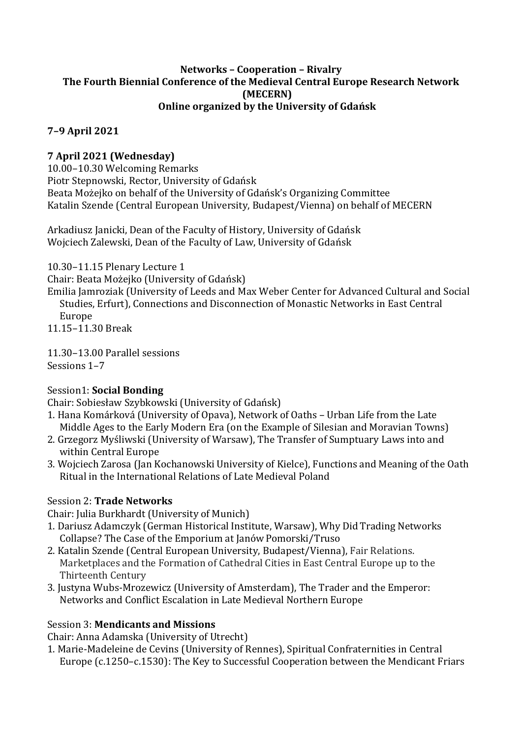#### **Networks – Cooperation – Rivalry The Fourth Biennial Conference of the Medieval Central Europe Research Network (MECERN) Online organized by the University of Gdańsk**

### **7–9 April 2021**

### **7 April 2021 (Wednesday)**

10.00–10.30 Welcoming Remarks Piotr Stepnowski, Rector, University of Gdańsk Beata Możejko on behalf of the University of Gdańsk's Organizing Committee Katalin Szende (Central European University, Budapest/Vienna) on behalf of MECERN

Arkadiusz Janicki, Dean of the Faculty of History, University of Gdańsk Wojciech Zalewski, Dean of the Faculty of Law, University of Gdańsk

10.30–11.15 Plenary Lecture 1

Chair: Beata Możejko (University of Gdańsk)

Emilia Jamroziak (University of Leeds and Max Weber Center for Advanced Cultural and Social Studies, Erfurt), Connections and Disconnection of Monastic Networks in East Central Europe

11.15–11.30 Break

11.30–13.00 Parallel sessions Sessions 1–7

### Session1: **Social Bonding**

Chair: Sobiesław Szybkowski (University of Gdańsk)

- 1. Hana Komárková (University of Opava), Network of Oaths Urban Life from the Late Middle Ages to the Early Modern Era (on the Example of Silesian and Moravian Towns)
- 2. Grzegorz Myśliwski (University of Warsaw), The Transfer of Sumptuary Laws into and within Central Europe
- 3. Wojciech Zarosa (Jan Kochanowski University of Kielce), Functions and Meaning of the Oath Ritual in the International Relations of Late Medieval Poland

### Session 2: **Trade Networks**

Chair: Julia Burkhardt (University of Munich)

- 1. Dariusz Adamczyk (German Historical Institute, Warsaw), Why Did Trading Networks Collapse? The Case of the Emporium at Janów Pomorski/Truso
- 2. Katalin Szende (Central European University, Budapest/Vienna), Fair Relations. Marketplaces and the Formation of Cathedral Cities in East Central Europe up to the Thirteenth Century
- 3. Justyna Wubs-Mrozewicz (University of Amsterdam), The Trader and the Emperor: Networks and Conflict Escalation in Late Medieval Northern Europe

### Session 3: **Mendicants and Missions**

Chair: Anna Adamska (University of Utrecht)

1. Marie-Madeleine de Cevins (University of Rennes), Spiritual Confraternities in Central Europe (c.1250–c.1530): The Key to Successful Cooperation between the Mendicant Friars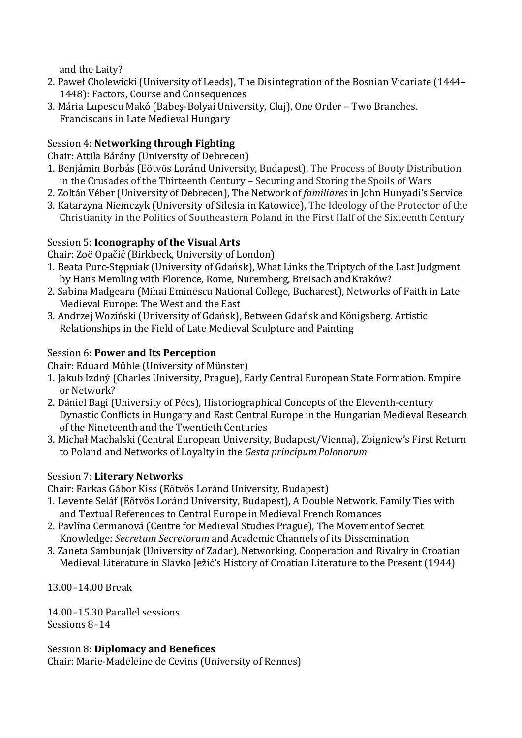and the Laity?

- 2. Paweł Cholewicki (University of Leeds), The Disintegration of the Bosnian Vicariate (1444– 1448): Factors, Course and Consequences
- 3. Mária Lupescu Makó (Babeş-Bolyai University, Cluj), One Order Two Branches. Franciscans in Late Medieval Hungary

# Session 4: **Networking through Fighting**

Chair: Attila Bárány (University of Debrecen)

- 1. Benjámin Borbás (Eötvös Loránd University, Budapest), The Process of Booty Distribution in the Crusades of the Thirteenth Century – Securing and Storing the Spoils of Wars
- 2. Zoltán Véber (University of Debrecen), The Network of *familiares* in John Hunyadi's Service
- 3. Katarzyna Niemczyk (University of Silesia in Katowice), The Ideology of the Protector of the Christianity in the Politics of Southeastern Poland in the First Half of the Sixteenth Century

## Session 5: **Iconography of the Visual Arts**

Chair: Zoë Opačić (Birkbeck, University of London)

- 1. Beata Purc-Stępniak (University of Gdańsk), What Links the Triptych of the Last Judgment by Hans Memling with Florence, Rome, Nuremberg, Breisach and Kraków?
- 2. Sabina Madgearu (Mihai Eminescu National College, Bucharest), Networks of Faith in Late Medieval Europe: The West and the East
- 3. Andrzej Woziński (University of Gdańsk), Between Gdańsk and Königsberg. Artistic Relationships in the Field of Late Medieval Sculpture and Painting

# Session 6: **Power and Its Perception**

Chair: Eduard Mühle (University of Münster)

- 1. Jakub Izdný (Charles University, Prague), Early Central European State Formation. Empire or Network?
- 2. Dániel Bagi (University of Pécs), Historiographical Concepts of the Eleventh-century Dynastic Conflicts in Hungary and East Central Europe in the Hungarian Medieval Research of the Nineteenth and the Twentieth Centuries
- 3. Michał Machalski (Central European University, Budapest/Vienna), Zbigniew's First Return to Poland and Networks of Loyalty in the *Gesta principumPolonorum*

## Session 7: **Literary Networks**

Chair: Farkas Gábor Kiss (Eötvös Loránd University, Budapest)

- 1. Levente Seláf (Eötvös Loránd University, Budapest), A Double Network. Family Ties with and Textual References to Central Europe in Medieval French Romances
- 2. Pavlína Cermanová (Centre for Medieval Studies Prague), The Movementof Secret Knowledge: *Secretum Secretorum* and Academic Channels of its Dissemination
- 3. Zaneta Sambunjak (University of Zadar), Networking, Cooperation and Rivalry in Croatian Medieval Literature in Slavko Ježić's History of Croatian Literature to the Present (1944)

13.00–14.00 Break

14.00–15.30 Parallel sessions Sessions 8–14

## Session 8: **Diplomacy and Benefices**

Chair: Marie-Madeleine de Cevins (University of Rennes)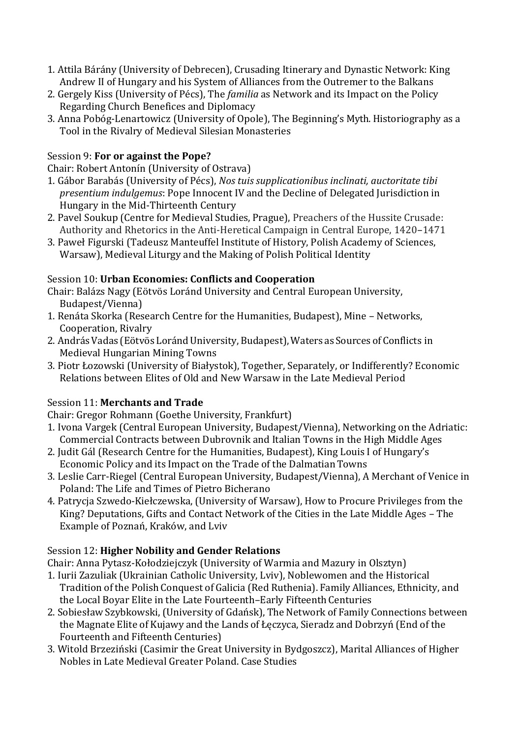- 1. Attila Bárány (University of Debrecen), Crusading Itinerary and Dynastic Network: King Andrew II of Hungary and his System of Alliances from the Outremer to the Balkans
- 2. Gergely Kiss (University of Pécs), The *familia* as Network and its Impact on the Policy Regarding Church Benefices and Diplomacy
- 3. Anna Pobóg-Lenartowicz (University of Opole), The Beginning's Myth. Historiography as a Tool in the Rivalry of Medieval Silesian Monasteries

### Session 9: **For or against the Pope?**

Chair: Robert Antonín (University of Ostrava)

- 1. Gábor Barabás (University of Pécs), *Nos tuis supplicationibus inclinati, auctoritate tibi presentium indulgemus*: Pope Innocent IV and the Decline of Delegated Jurisdiction in Hungary in the Mid-Thirteenth Century
- 2. Pavel Soukup (Centre for Medieval Studies, Prague), Preachers of the Hussite Crusade: Authority and Rhetorics in the Anti-Heretical Campaign in Central Europe, 1420–1471
- 3. Paweł Figurski (Tadeusz Manteuffel Institute of History, Polish Academy of Sciences, Warsaw), Medieval Liturgy and the Making of Polish Political Identity

### Session 10: **Urban Economies: Conflicts and Cooperation**

Chair: Balázs Nagy (Eötvös Loránd University and Central European University, Budapest/Vienna)

- 1. Renáta Skorka (Research Centre for the Humanities, Budapest), Mine Networks, Cooperation, Rivalry
- 2. András Vadas (Eötvös Loránd University, Budapest), Waters as Sources of Conflicts in Medieval Hungarian Mining Towns
- 3. Piotr Łozowski (University of Białystok), Together, Separately, or Indifferently? Economic Relations between Elites of Old and New Warsaw in the Late Medieval Period

### Session 11: **Merchants and Trade**

Chair: Gregor Rohmann (Goethe University, Frankfurt)

- 1. Ivona Vargek (Central European University, Budapest/Vienna), Networking on the Adriatic: Commercial Contracts between Dubrovnik and Italian Towns in the High Middle Ages
- 2. Judit Gál (Research Centre for the Humanities, Budapest), King Louis I of Hungary's Economic Policy and its Impact on the Trade of the DalmatianTowns
- 3. Leslie Carr-Riegel (Central European University, Budapest/Vienna), A Merchant of Venice in Poland: The Life and Times of Pietro Bicherano
- 4. Patrycja Szwedo-Kiełczewska, (University of Warsaw), How to Procure Privileges from the King? Deputations, Gifts and Contact Network of the Cities in the Late Middle Ages – The Example of Poznań, Kraków, and Lviv

### Session 12: **Higher Nobility and Gender Relations**

Chair: Anna Pytasz-Kołodziejczyk (University of Warmia and Mazury in Olsztyn)

- 1. Iurii Zazuliak (Ukrainian Catholic University, Lviv), Noblewomen and the Historical Tradition of the Polish Conquest of Galicia (Red Ruthenia). Family Alliances, Ethnicity, and the Local Boyar Elite in the Late Fourteenth–Early Fifteenth Centuries
- 2. Sobiesław Szybkowski, (University of Gdańsk), The Network of Family Connections between the Magnate Elite of Kujawy and the Lands of Łęczyca, Sieradz and Dobrzyń (End of the Fourteenth and Fifteenth Centuries)
- 3. Witold Brzeziński (Casimir the Great University in Bydgoszcz), Marital Alliances of Higher Nobles in Late Medieval Greater Poland. Case Studies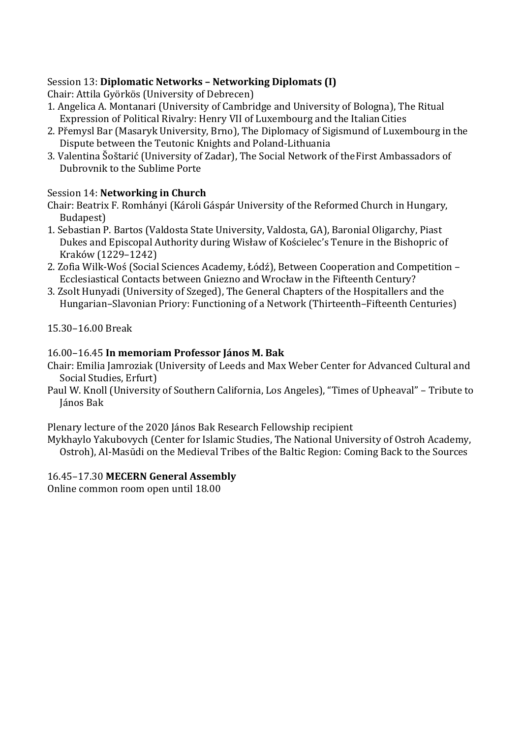### Session 13: **Diplomatic Networks – Networking Diplomats (I)**

Chair: Attila Györkös (University of Debrecen)

- 1. Angelica A. Montanari (University of Cambridge and University of Bologna), The Ritual Expression of Political Rivalry: Henry VII of Luxembourg and the ItalianCities
- 2. Přemysl Bar (Masaryk University, Brno), The Diplomacy of Sigismund of Luxembourg in the Dispute between the Teutonic Knights and Poland-Lithuania
- 3. Valentina Šoštarić (University of Zadar), The Social Network of theFirst Ambassadors of Dubrovnik to the Sublime Porte

### Session 14: **Networking in Church**

Chair: Beatrix F. Romhányi (Károli Gáspár University of the Reformed Church in Hungary, Budapest)

- 1. Sebastian P. Bartos (Valdosta State University, Valdosta, GA), Baronial Oligarchy, Piast Dukes and Episcopal Authority during Wisław of Kościelec's Tenure in the Bishopric of Kraków (1229–1242)
- 2. Zofia Wilk-Woś (Social Sciences Academy, Łódź), Between Cooperation and Competition Ecclesiastical Contacts between Gniezno and Wrocław in the Fifteenth Century?
- 3. Zsolt Hunyadi (University of Szeged), The General Chapters of the Hospitallers and the Hungarian–Slavonian Priory: Functioning of a Network (Thirteenth–Fifteenth Centuries)

15.30–16.00 Break

### 16.00–16.45 **In memoriam Professor János M. Bak**

- Chair: Emilia Jamroziak (University of Leeds and Max Weber Center for Advanced Cultural and Social Studies, Erfurt)
- Paul W. Knoll (University of Southern California, Los Angeles), "Times of Upheaval" Tribute to János Bak

Plenary lecture of the 2020 János Bak Research Fellowship recipient

Mykhaylo Yakubovych (Center for Islamic Studies, The National University of Ostroh Academy, Ostroh), Al-Masūdi on the Medieval Tribes of the Baltic Region: Coming Back to the Sources

### 16.45–17.30 **MECERN General Assembly**

Online common room open until 18.00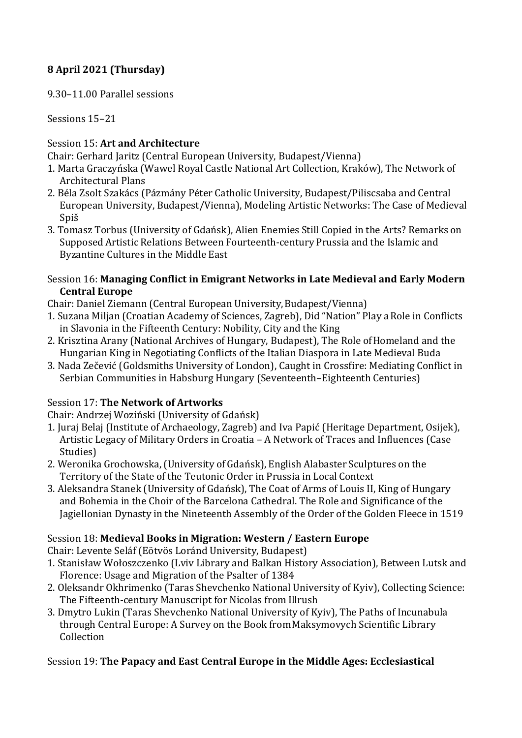# **8 April 2021 (Thursday)**

9.30–11.00 Parallel sessions

Sessions 15–21

### Session 15: **Art and Architecture**

Chair: Gerhard Jaritz (Central European University, Budapest/Vienna)

- 1. Marta Graczyńska (Wawel Royal Castle National Art Collection, Kraków), The Network of Architectural Plans
- 2. Béla Zsolt Szakács (Pázmány Péter Catholic University, Budapest/Piliscsaba and Central European University, Budapest/Vienna), Modeling Artistic Networks: The Case of Medieval Spiš
- 3. Tomasz Torbus (University of Gdańsk), Alien Enemies Still Copied in the Arts? Remarks on Supposed Artistic Relations Between Fourteenth-century Prussia and the Islamic and Byzantine Cultures in the Middle East

#### Session 16: **Managing Conflict in Emigrant Networks in Late Medieval and Early Modern Central Europe**

- Chair: Daniel Ziemann (Central European University,Budapest/Vienna)
- 1. Suzana Miljan (Croatian Academy of Sciences, Zagreb), Did "Nation" Play aRole in Conflicts in Slavonia in the Fifteenth Century: Nobility, City and the King
- 2. Krisztina Arany (National Archives of Hungary, Budapest), The Role ofHomeland and the Hungarian King in Negotiating Conflicts of the Italian Diaspora in Late Medieval Buda
- 3. Nada Zečević (Goldsmiths University of London), Caught in Crossfire: Mediating Conflict in Serbian Communities in Habsburg Hungary (Seventeenth–Eighteenth Centuries)

## Session 17: **The Network of Artworks**

Chair: Andrzej Woziński (University of Gdańsk)

- 1. Juraj Belaj (Institute of Archaeology, Zagreb) and Iva Papić (Heritage Department, Osijek), Artistic Legacy of Military Orders in Croatia – A Network of Traces and Influences (Case Studies)
- 2. Weronika Grochowska, (University of Gdańsk), English Alabaster Sculptures on the Territory of the State of the Teutonic Order in Prussia in Local Context
- 3. Aleksandra Stanek (University of Gdańsk), The Coat of Arms of Louis II, King of Hungary and Bohemia in the Choir of the Barcelona Cathedral. The Role and Significance of the Jagiellonian Dynasty in the Nineteenth Assembly of the Order of the Golden Fleece in 1519

## Session 18: **Medieval Books in Migration: Western / Eastern Europe**

Chair: Levente Seláf (Eötvös Loránd University, Budapest)

- 1. Stanisław Wołoszczenko (Lviv Library and Balkan History Association), Between Lutsk and Florence: Usage and Migration of the Psalter of 1384
- 2. Oleksandr Okhrimenko (Taras Shevchenko National University of Kyiv), Collecting Science: The Fifteenth-century Manuscript for Nicolas from Illrush
- 3. Dmytro Lukin (Taras Shevchenko National University of Kyiv), The Paths of Incunabula through Central Europe: A Survey on the Book fromMaksymovych Scientific Library Collection

## Session 19: **The Papacy and East Central Europe in the Middle Ages: Ecclesiastical**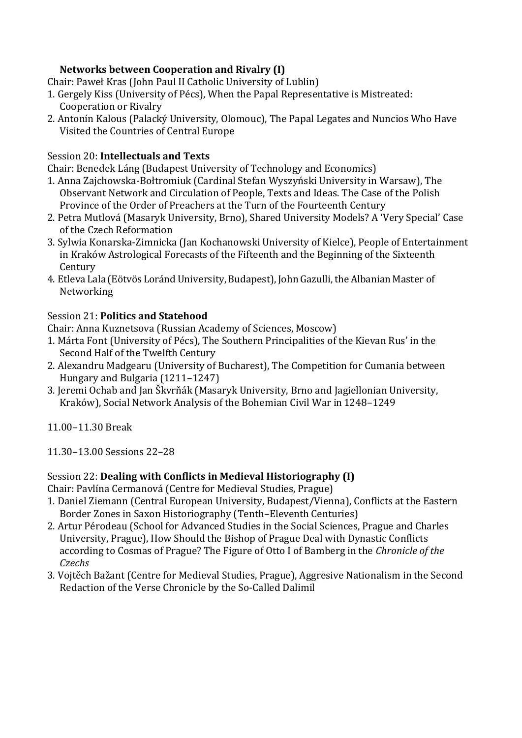## **Networks between Cooperation and Rivalry (I)**

Chair: Paweł Kras (John Paul II Catholic University of Lublin)

- 1. Gergely Kiss (University of Pécs), When the Papal Representative is Mistreated: Cooperation or Rivalry
- 2. Antonín Kalous (Palacký University, Olomouc), The Papal Legates and Nuncios Who Have Visited the Countries of Central Europe

#### Session 20: **Intellectuals and Texts**

Chair: Benedek Láng (Budapest University of Technology and Economics)

- 1. Anna Zajchowska-Bołtromiuk (Cardinal Stefan Wyszyński University in Warsaw), The Observant Network and Circulation of People, Texts and Ideas. The Case of the Polish Province of the Order of Preachers at the Turn of the Fourteenth Century
- 2. Petra Mutlová (Masaryk University, Brno), Shared University Models? A 'Very Special' Case of the Czech Reformation
- 3. Sylwia Konarska-Zimnicka (Jan Kochanowski University of Kielce), People of Entertainment in Kraków Astrological Forecasts of the Fifteenth and the Beginning of the Sixteenth Century
- 4. Etleva Lala (Eötvös Loránd University, Budapest), John Gazulli, the Albanian Master of Networking

#### Session 21: **Politics and Statehood**

Chair: Anna Kuznetsova (Russian Academy of Sciences, Moscow)

- 1. Márta Font (University of Pécs), The Southern Principalities of the Kievan Rus' in the Second Half of the Twelfth Century
- 2. Alexandru Madgearu (University of Bucharest), The Competition for Cumania between Hungary and Bulgaria (1211–1247)
- 3. Jeremi Ochab and Jan Škvrňák (Masaryk University, Brno and Jagiellonian University, Kraków), Social Network Analysis of the Bohemian Civil War in 1248–1249
- 11.00–11.30 Break
- 11.30–13.00 Sessions 22–28

### Session 22: **Dealing with Conflicts in Medieval Historiography (I)**

Chair: Pavlína Cermanová (Centre for Medieval Studies, Prague)

- 1. Daniel Ziemann (Central European University, Budapest/Vienna), Conflicts at the Eastern Border Zones in Saxon Historiography (Tenth–Eleventh Centuries)
- 2. Artur Pérodeau (School for Advanced Studies in the Social Sciences, Prague and Charles University, Prague), How Should the Bishop of Prague Deal with Dynastic Conflicts according to Cosmas of Prague? The Figure of Otto I of Bamberg in the *Chronicle of the Czechs*
- 3. Vojtěch Bažant (Centre for Medieval Studies, Prague), Aggresive Nationalism in the Second Redaction of the Verse Chronicle by the So-Called Dalimil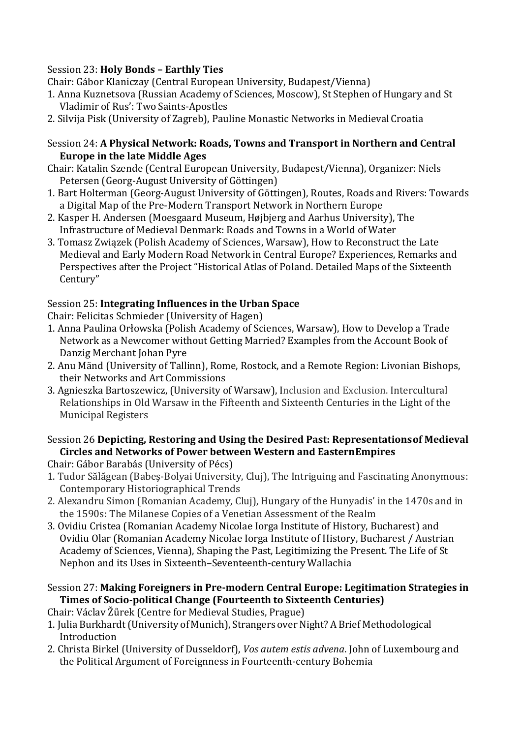### Session 23: **Holy Bonds – Earthly Ties**

Chair: Gábor Klaniczay (Central European University, Budapest/Vienna)

- 1. Anna Kuznetsova (Russian Academy of Sciences, Moscow), St Stephen of Hungary and St Vladimir of Rus': Two Saints-Apostles
- 2. Silvija Pisk (University of Zagreb), Pauline Monastic Networks in Medieval Croatia

#### Session 24: **A Physical Network: Roads, Towns and Transport in Northern and Central Europe in the late Middle Ages**

- Chair: Katalin Szende (Central European University, Budapest/Vienna), Organizer: Niels Petersen (Georg-August University of Göttingen)
- 1. Bart Holterman (Georg-August University of Göttingen), Routes, Roads and Rivers: Towards a Digital Map of the Pre-Modern Transport Network in Northern Europe
- 2. Kasper H. Andersen (Moesgaard Museum, Højbjerg and Aarhus University), The Infrastructure of Medieval Denmark: Roads and Towns in a World of Water
- 3. Tomasz Związek (Polish Academy of Sciences, Warsaw), How to Reconstruct the Late Medieval and Early Modern Road Network in Central Europe? Experiences, Remarks and Perspectives after the Project "Historical Atlas of Poland. Detailed Maps of the Sixteenth Century"

### Session 25: **Integrating Influences in the Urban Space**

Chair: Felicitas Schmieder (University of Hagen)

- 1. Anna Paulina Orłowska (Polish Academy of Sciences, Warsaw), How to Develop a Trade Network as a Newcomer without Getting Married? Examples from the Account Book of Danzig Merchant Johan Pyre
- 2. Anu Mänd (University of Tallinn), Rome, Rostock, and a Remote Region: Livonian Bishops, their Networks and Art Commissions
- 3. Agnieszka Bartoszewicz, (University of Warsaw), Inclusion and Exclusion. Intercultural Relationships in Old Warsaw in the Fifteenth and Sixteenth Centuries in the Light of the Municipal Registers

### Session 26 **Depicting, Restoring and Using the Desired Past: Representationsof Medieval Circles and Networks of Power between Western and EasternEmpires**

Chair: Gábor Barabás (University of Pécs)

- 1. Tudor Sălăgean (Babeş-Bolyai University, Cluj), The Intriguing and Fascinating Anonymous: Contemporary Historiographical Trends
- 2. Alexandru Simon (Romanian Academy, Cluj), Hungary of the Hunyadis' in the 1470s and in the 1590s: The Milanese Copies of a Venetian Assessment of the Realm
- 3. Ovidiu Cristea (Romanian Academy Nicolae Iorga Institute of History, Bucharest) and Ovidiu Olar (Romanian Academy Nicolae Iorga Institute of History, Bucharest / Austrian Academy of Sciences, Vienna), Shaping the Past, Legitimizing the Present. The Life of St Nephon and its Uses in Sixteenth–Seventeenth-centuryWallachia
- Session 27: **Making Foreigners in Pre-modern Central Europe: Legitimation Strategies in Times of Socio-political Change (Fourteenth to Sixteenth Centuries)**
- Chair: Václav Žůrek (Centre for Medieval Studies, Prague)
- 1. Julia Burkhardt (University of Munich), Strangers over Night? A Brief Methodological Introduction
- 2. Christa Birkel (University of Dusseldorf), *Vos autem estis advena*. John of Luxembourg and the Political Argument of Foreignness in Fourteenth-century Bohemia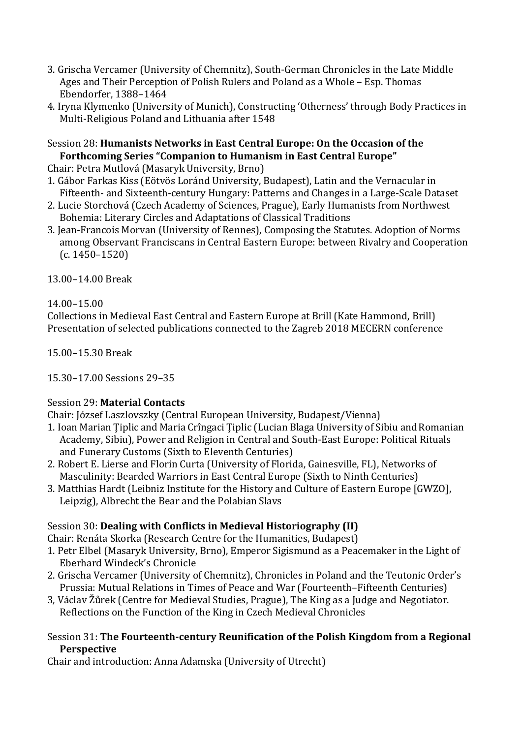- 3. Grischa Vercamer (University of Chemnitz), South-German Chronicles in the Late Middle Ages and Their Perception of Polish Rulers and Poland as a Whole – Esp. Thomas Ebendorfer, 1388–1464
- 4. Iryna Klymenko (University of Munich), Constructing 'Otherness' through Body Practices in Multi-Religious Poland and Lithuania after 1548

#### Session 28: **Humanists Networks in East Central Europe: On the Occasion of the Forthcoming Series "Companion to Humanism in East Central Europe"**

Chair: Petra Mutlová (Masaryk University, Brno)

- 1. Gábor Farkas Kiss (Eötvös Loránd University, Budapest), Latin and the Vernacular in Fifteenth- and Sixteenth-century Hungary: Patterns and Changes in a Large-Scale Dataset
- 2. Lucie Storchová (Czech Academy of Sciences, Prague), Early Humanists from Northwest Bohemia: Literary Circles and Adaptations of Classical Traditions
- 3. Jean-Francois Morvan (University of Rennes), Composing the Statutes. Adoption of Norms among Observant Franciscans in Central Eastern Europe: between Rivalry and Cooperation (c. 1450–1520)

13.00–14.00 Break

### 14.00–15.00

Collections in Medieval East Central and Eastern Europe at Brill (Kate Hammond, Brill) Presentation of selected publications connected to the Zagreb 2018 MECERN conference

15.00–15.30 Break

15.30–17.00 Sessions 29–35

### Session 29: **Material Contacts**

Chair: József Laszlovszky (Central European University, Budapest/Vienna)

- 1. Ioan Marian Tiplic and Maria Crîngaci Tiplic (Lucian Blaga University of Sibiu and Romanian Academy, Sibiu), Power and Religion in Central and South-East Europe: Political Rituals and Funerary Customs (Sixth to Eleventh Centuries)
- 2. Robert E. Lierse and Florin Curta (University of Florida, Gainesville, FL), Networks of Masculinity: Bearded Warriors in East Central Europe (Sixth to Ninth Centuries)
- 3. Matthias Hardt (Leibniz Institute for the History and Culture of Eastern Europe [GWZO], Leipzig), Albrecht the Bear and the Polabian Slavs

## Session 30: **Dealing with Conflicts in Medieval Historiography (II)**

Chair: Renáta Skorka (Research Centre for the Humanities, Budapest)

- 1. Petr Elbel (Masaryk University, Brno), Emperor Sigismund as a Peacemaker inthe Light of Eberhard Windeck's Chronicle
- 2. Grischa Vercamer (University of Chemnitz), Chronicles in Poland and the Teutonic Order's Prussia: Mutual Relations in Times of Peace and War (Fourteenth–Fifteenth Centuries)
- 3, Václav Žůrek (Centre for Medieval Studies, Prague), The King as a Judge and Negotiator. Reflections on the Function of the King in Czech Medieval Chronicles

#### Session 31: **The Fourteenth-century Reunification of the Polish Kingdom from a Regional Perspective**

Chair and introduction: Anna Adamska (University of Utrecht)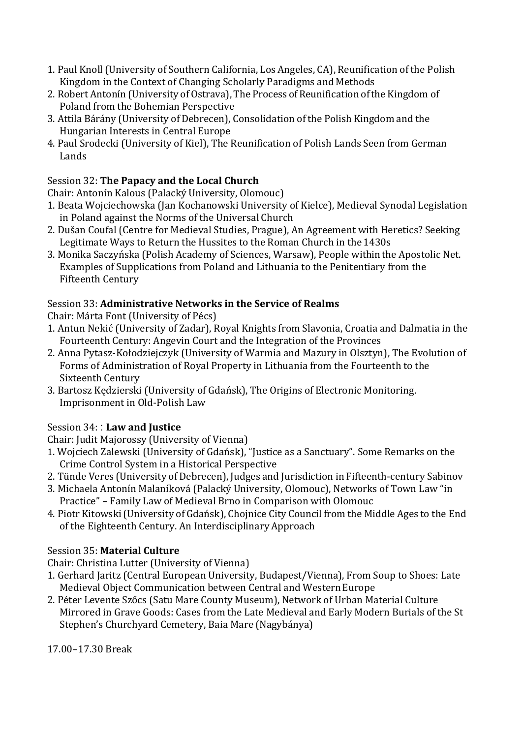- 1. Paul Knoll(University of Southern California, Los Angeles, CA), Reunification of the Polish Kingdom in the Context of Changing Scholarly Paradigms and Methods
- 2. Robert Antonín (University of Ostrava), The Process of Reunification of the Kingdom of Poland from the Bohemian Perspective
- 3. Attila Bárány (University of Debrecen), Consolidation of the Polish Kingdom and the Hungarian Interests in Central Europe
- 4. Paul Srodecki (University of Kiel), The Reunification of Polish Lands Seen from German Lands

# Session 32: **The Papacy and the Local Church**

Chair: Antonín Kalous (Palacký University, Olomouc)

- 1. Beata Wojciechowska (Jan Kochanowski University of Kielce), Medieval Synodal Legislation in Poland against the Norms of the Universal Church
- 2. Dušan Coufal (Centre for Medieval Studies, Prague), An Agreement with Heretics? Seeking Legitimate Ways to Return the Hussites to the Roman Church in the1430s
- 3. Monika Saczyńska (Polish Academy of Sciences, Warsaw), People withinthe Apostolic Net. Examples of Supplications from Poland and Lithuania to the Penitentiary from the Fifteenth Century

### Session 33: **Administrative Networks in the Service of Realms**

Chair: Márta Font (University of Pécs)

- 1. Antun Nekić (University of Zadar), Royal Knights from Slavonia, Croatia and Dalmatia in the Fourteenth Century: Angevin Court and the Integration of the Provinces
- 2. Anna Pytasz-Kołodziejczyk (University of Warmia and Mazury in Olsztyn), The Evolution of Forms of Administration of Royal Property in Lithuania from the Fourteenth to the Sixteenth Century
- 3. Bartosz Kędzierski (University of Gdańsk), The Origins of Electronic Monitoring. Imprisonment in Old-Polish Law

## Session 34: : **Law and Justice**

Chair: Judit Majorossy (University of Vienna)

- 1. Wojciech Zalewski (University of Gdańsk), "Justice as a Sanctuary". Some Remarks on the Crime Control System in a Historical Perspective
- 2. Tünde Veres (University of Debrecen), Judges and Jurisdiction in Fifteenth-century Sabinov
- 3. Michaela Antonín Malaníková (Palacký University, Olomouc), Networks of Town Law "in Practice" – Family Law of Medieval Brno in Comparison with Olomouc
- 4. Piotr Kitowski(University of Gdańsk), Chojnice City Council from the Middle Ages to the End of the Eighteenth Century. An Interdisciplinary Approach

## Session 35: **Material Culture**

Chair: Christina Lutter (University of Vienna)

- 1. Gerhard Jaritz (Central European University, Budapest/Vienna), From Soup to Shoes: Late Medieval Object Communication between Central and WesternEurope
- 2. Péter Levente Szőcs (Satu Mare County Museum), Network of Urban Material Culture Mirrored in Grave Goods: Cases from the Late Medieval and Early Modern Burials of the St Stephen's Churchyard Cemetery, Baia Mare (Nagybánya)

17.00–17.30 Break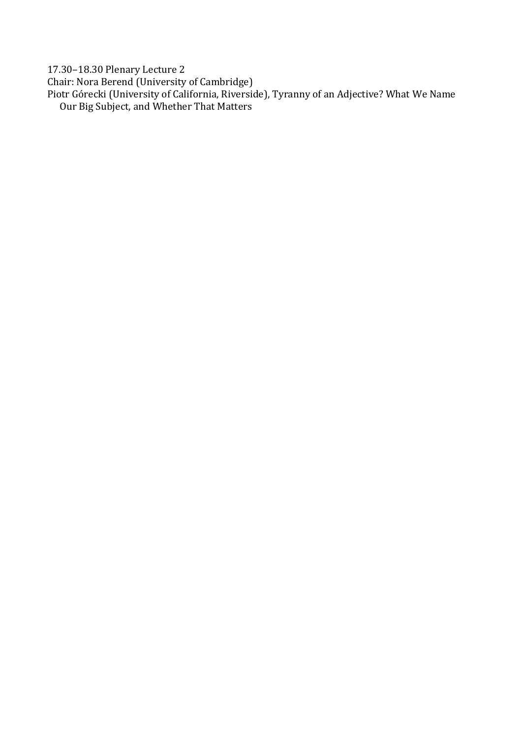17.30–18.30 Plenary Lecture 2

Chair: Nora Berend (University of Cambridge)

Piotr Górecki (University of California, Riverside), Tyranny of an Adjective? What We Name Our Big Subject, and Whether That Matters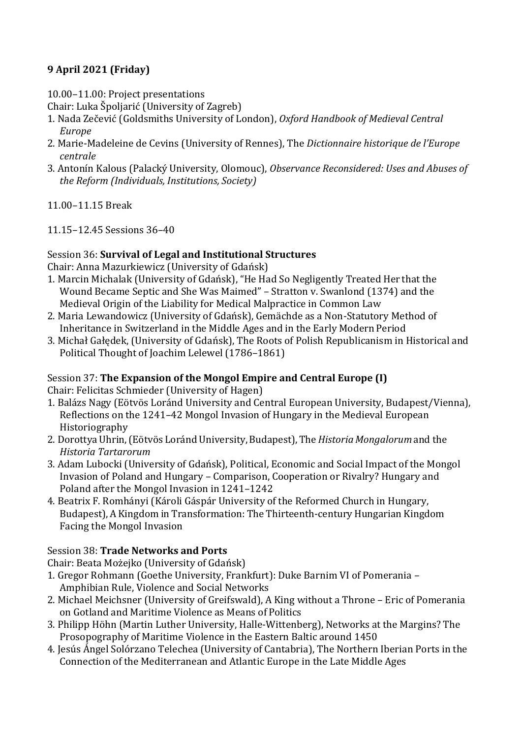# **9 April 2021 (Friday)**

10.00–11.00: Project presentations

Chair: Luka Špoljarić (University of Zagreb)

- 1. Nada Zečević (Goldsmiths University of London), *Oxford Handbook of Medieval Central Europe*
- 2. Marie-Madeleine de Cevins (University of Rennes), The *Dictionnaire historique de l'Europe centrale*
- 3. Antonín Kalous (Palacký University, Olomouc), *Observance Reconsidered: Uses and Abuses of the Reform (Individuals, Institutions, Society)*
- 11.00–11.15 Break
- 11.15–12.45 Sessions 36–40

### Session 36: **Survival of Legal and Institutional Structures**

Chair: Anna Mazurkiewicz (University of Gdańsk)

- 1. Marcin Michalak (University of Gdańsk), "He Had So Negligently Treated Her that the Wound Became Septic and She Was Maimed" – Stratton v. Swanlond (1374) and the Medieval Origin of the Liability for Medical Malpractice in Common Law
- 2. Maria Lewandowicz (University of Gdańsk), Gemächde as a Non-Statutory Method of Inheritance in Switzerland in the Middle Ages and in the Early Modern Period
- 3. Michał Gałędek, (University of Gdańsk), The Roots of Polish Republicanism in Historical and Political Thought of Joachim Lelewel (1786–1861)

## Session 37: **The Expansion of the Mongol Empire and Central Europe (I)**

Chair: Felicitas Schmieder (University of Hagen)

- 1. Balázs Nagy (Eötvös Loránd University and Central European University, Budapest/Vienna), Reflections on the 1241–42 Mongol Invasion of Hungary in the Medieval European Historiography
- 2. DorottyaUhrin,(Eötvös LorándUniversity,Budapest),The*HistoriaMongalorum*and the *Historia Tartarorum*
- 3. Adam Lubocki (University of Gdańsk), Political, Economic and Social Impact of the Mongol Invasion of Poland and Hungary – Comparison, Cooperation or Rivalry? Hungary and Poland after the Mongol Invasion in 1241–1242
- 4. Beatrix F. Romhányi (Károli Gáspár University of the Reformed Church in Hungary, Budapest), A Kingdom in Transformation: The Thirteenth-century Hungarian Kingdom Facing the Mongol Invasion

## Session 38: **Trade Networks and Ports**

Chair: Beata Możejko (University of Gdańsk)

- 1. Gregor Rohmann (Goethe University, Frankfurt): Duke Barnim VI of Pomerania Amphibian Rule, Violence and Social Networks
- 2. Michael Meichsner (University of Greifswald), A King without a Throne Eric of Pomerania on Gotland and Maritime Violence as Means of Politics
- 3. Philipp Höhn (Martin Luther University, Halle-Wittenberg), Networks at the Margins? The Prosopography of Maritime Violence in the Eastern Baltic around 1450
- 4. Jesús Ángel Solórzano Telechea (University of Cantabria), The Northern Iberian Ports in the Connection of the Mediterranean and Atlantic Europe in the Late Middle Ages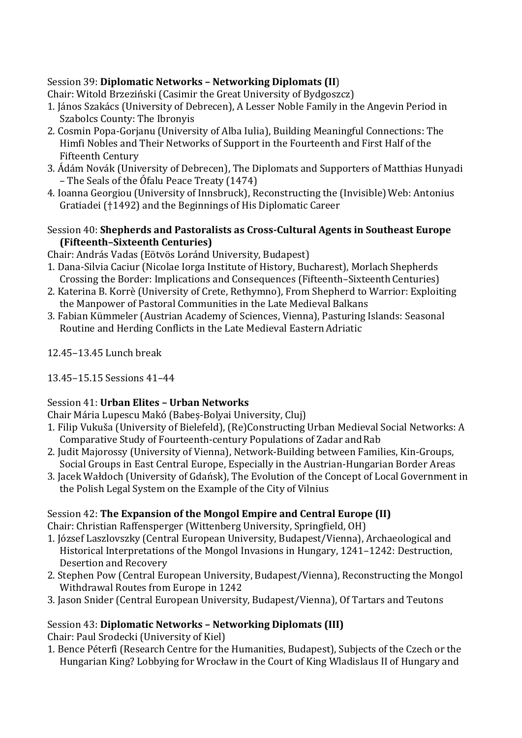### Session 39: **Diplomatic Networks – Networking Diplomats (II**)

Chair: Witold Brzeziński (Casimir the Great University of Bydgoszcz)

- 1. János Szakács (University of Debrecen), A Lesser Noble Family in the Angevin Period in Szabolcs County: The Ibronyis
- 2. Cosmin Popa-Gorjanu (University of Alba Iulia), Building Meaningful Connections: The Himfi Nobles and Their Networks of Support in the Fourteenth and First Half of the Fifteenth Century
- 3. Ádám Novák (University of Debrecen), The Diplomats and Supporters of Matthias Hunyadi – The Seals of the Ófalu Peace Treaty (1474)
- 4. Ioanna Georgiou (University of Innsbruck), Reconstructing the (Invisible) Web: Antonius Gratiadei (†1492) and the Beginnings of His Diplomatic Career

### Session 40: **Shepherds and Pastoralists as Cross-Cultural Agents in Southeast Europe (Fifteenth–Sixteenth Centuries)**

Chair: András Vadas (Eötvös Loránd University, Budapest)

- 1. Dana-Silvia Caciur (Nicolae Iorga Institute of History, Bucharest), Morlach Shepherds Crossing the Border: Implications and Consequences (Fifteenth–Sixteenth Centuries)
- 2. Katerina B. Korrè (University of Crete, Rethymno), From Shepherd to Warrior: Exploiting the Manpower of Pastoral Communities in the Late Medieval Balkans
- 3. Fabian Kümmeler (Austrian Academy of Sciences, Vienna), Pasturing Islands: Seasonal Routine and Herding Conflicts in the Late Medieval Eastern Adriatic
- 12.45–13.45 Lunch break
- 13.45–15.15 Sessions 41–44

## Session 41: **Urban Elites – Urban Networks**

Chair Mária Lupescu Makó (Babeș-Bolyai University, Cluj)

- 1. Filip Vukuša (University of Bielefeld), (Re)Constructing Urban Medieval Social Networks: A Comparative Study of Fourteenth-century Populations of Zadar and Rab
- 2. Judit Majorossy (University of Vienna), Network-Building between Families, Kin-Groups, Social Groups in East Central Europe, Especially in the Austrian-Hungarian Border Areas
- 3. Jacek Wałdoch (University of Gdańsk), The Evolution of the Concept of Local Government in the Polish Legal System on the Example of the City of Vilnius

## Session 42: **The Expansion of the Mongol Empire and Central Europe (II)**

Chair: Christian Raffensperger (Wittenberg University, Springfield, OH)

- 1. József Laszlovszky (Central European University, Budapest/Vienna), Archaeological and Historical Interpretations of the Mongol Invasions in Hungary, 1241–1242: Destruction, Desertion and Recovery
- 2. Stephen Pow (Central European University, Budapest/Vienna), Reconstructing the Mongol Withdrawal Routes from Europe in 1242
- 3. Jason Snider (Central European University, Budapest/Vienna), Of Tartars and Teutons

## Session 43: **Diplomatic Networks – Networking Diplomats (III)**

Chair: Paul Srodecki (University of Kiel)

1. Bence Péterfi (Research Centre for the Humanities, Budapest), Subjects of the Czech or the Hungarian King? Lobbying for Wrocław in the Court of King Wladislaus II of Hungary and